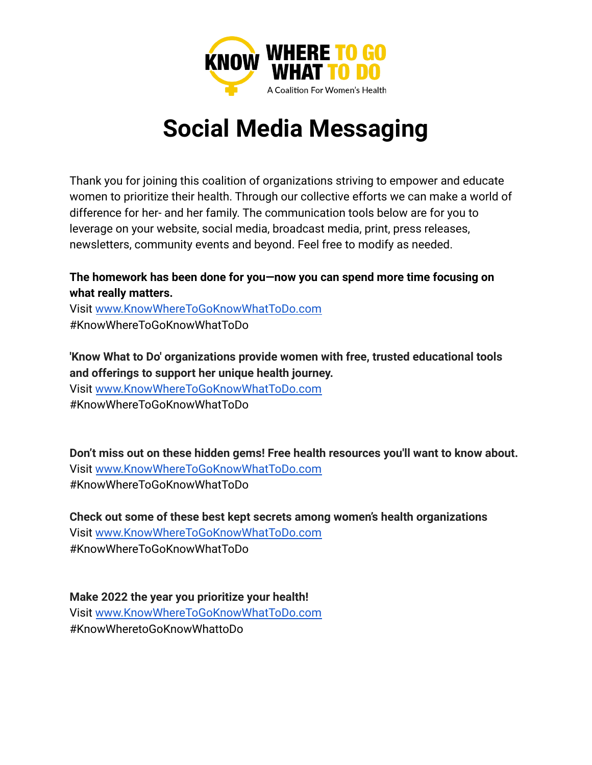

## **Social Media Messaging**

Thank you for joining this coalition of organizations striving to empower and educate women to prioritize their health. Through our collective efforts we can make a world of difference for her- and her family. The communication tools below are for you to leverage on your website, social media, broadcast media, print, press releases, newsletters, community events and beyond. Feel free to modify as needed.

## **The homework has been done for you—now you can spend more time focusing on what really matters.**

Visit [www.KnowWhereToGoKnowWhatToDo.com](http://www.knowwheretogoknowwhattodo.org/) #KnowWhereToGoKnowWhatToDo

**'Know What to Do' organizations provide women with free, trusted educational tools and offerings to support her unique health journey.**

Visit [www.KnowWhereToGoKnowWhatToDo.com](http://www.knowwheretogoknowwhattodo.org/) #KnowWhereToGoKnowWhatToDo

**Don't miss out on these hidden gems! Free health resources you'll want to know about.** Visit [www.KnowWhereToGoKnowWhatToDo.com](http://www.knowwheretogoknowwhattodo.org/) #KnowWhereToGoKnowWhatToDo

**Check out some of these best kept secrets among women's health organizations** Visit [www.KnowWhereToGoKnowWhatToDo.com](http://www.knowwheretogoknowwhattodo.org/) #KnowWhereToGoKnowWhatToDo

**Make 2022 the year you prioritize your health!** Visit [www.KnowWhereToGoKnowWhatToDo.com](http://www.knowwheretogoknowwhattodo.org/) #KnowWheretoGoKnowWhattoDo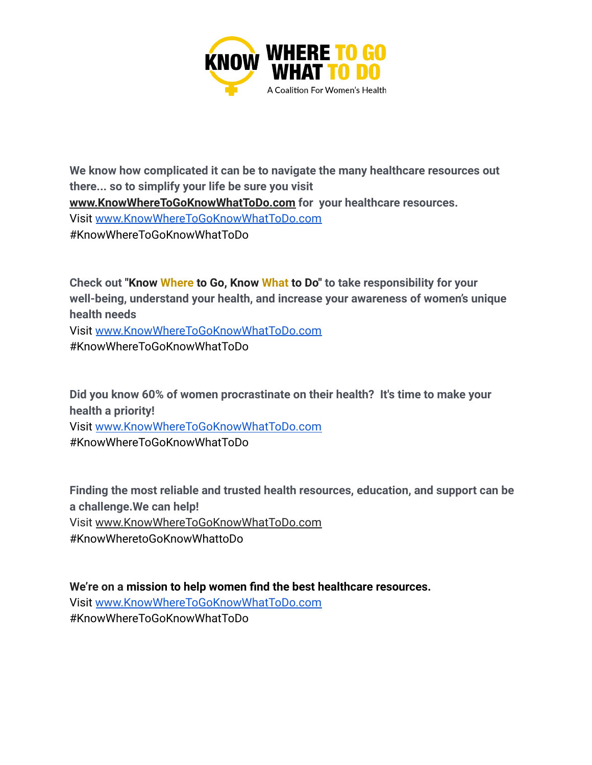

**We know how complicated it can be to navigate the many healthcare resources out there... so to simplify your life be sure you visit [www.KnowWhereToGoKnowWhatToDo.com](http://www.knowwheretogoknowwhattodo.org/) for your healthcare resources.** Visit [www.KnowWhereToGoKnowWhatToDo.com](http://www.knowwheretogoknowwhattodo.org/) #KnowWhereToGoKnowWhatToDo

**Check out "Know Where to Go, Know What to Do" to take responsibility for your well-being, understand your health, and increase your awareness of women's unique health needs** Visit [www.KnowWhereToGoKnowWhatToDo.com](http://www.knowwheretogoknowwhattodo.org/)

#KnowWhereToGoKnowWhatToDo

**Did you know 60% of women procrastinate on their health? It's time to make your health a priority!** Visit [www.KnowWhereToGoKnowWhatToDo.com](http://www.knowwheretogoknowwhattodo.org/) #KnowWhereToGoKnowWhatToDo

**Finding the most reliable and trusted health resources, education, and support can be a challenge.We can help!** Visit [www.KnowWhereToGoKnowWhatToDo.com](http://www.knowwheretogoknowwhattodo.org/) #KnowWheretoGoKnowWhattoDo

**We're on a mission to help women find the best healthcare resources.** Visit [www.KnowWhereToGoKnowWhatToDo.com](http://www.knowwheretogoknowwhattodo.org/) #KnowWhereToGoKnowWhatToDo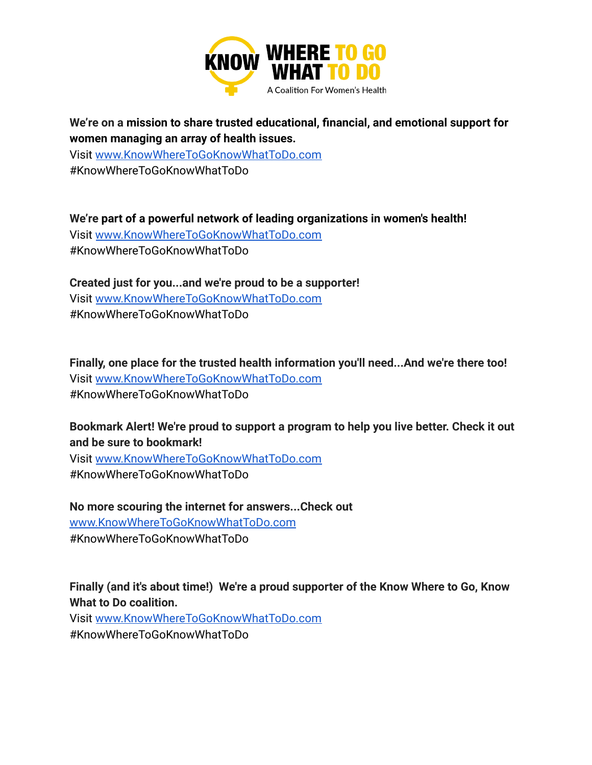

**We're on a mission to share trusted educational, financial, and emotional support for women managing an array of health issues.**

Visit [www.KnowWhereToGoKnowWhatToDo.com](http://www.knowwheretogoknowwhattodo.org/) #KnowWhereToGoKnowWhatToDo

**We're part of a powerful network of leading organizations in women's health!** Visit [www.KnowWhereToGoKnowWhatToDo.com](http://www.knowwheretogoknowwhattodo.org/) #KnowWhereToGoKnowWhatToDo

**Created just for you...and we're proud to be a supporter!** Visit [www.KnowWhereToGoKnowWhatToDo.com](http://www.knowwheretogoknowwhattodo.org/) #KnowWhereToGoKnowWhatToDo

**Finally, one place for the trusted health information you'll need...And we're there too!** Visit [www.KnowWhereToGoKnowWhatToDo.com](http://www.knowwheretogoknowwhattodo.org/) #KnowWhereToGoKnowWhatToDo

**Bookmark Alert! We're proud to support a program to help you live better. Check it out and be sure to bookmark!**

Visit [www.KnowWhereToGoKnowWhatToDo.com](http://www.knowwheretogoknowwhattodo.org/) #KnowWhereToGoKnowWhatToDo

**No more scouring the internet for answers...Check out** [www.KnowWhereToGoKnowWhatToDo.com](http://www.knowwheretogoknowwhattodo.org/) #KnowWhereToGoKnowWhatToDo

**Finally (and it's about time!) We're a proud supporter of the Know Where to Go, Know What to Do coalition.**

Visit [www.KnowWhereToGoKnowWhatToDo.com](http://www.knowwheretogoknowwhattodo.org/) #KnowWhereToGoKnowWhatToDo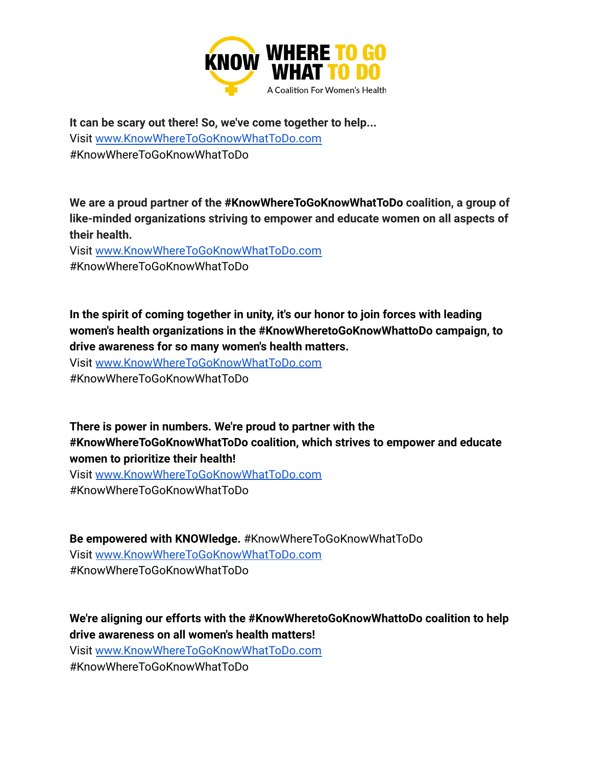

**It can be scary out there! So, we've come together to help...** Visit [www.KnowWhereToGoKnowWhatToDo.com](http://www.knowwheretogoknowwhattodo.org/) #KnowWhereToGoKnowWhatToDo

**We are a proud partner of the #KnowWhereToGoKnowWhatToDo coalition, a group of like-minded organizations striving to empower and educate women on all aspects of their health.**

Visit [www.KnowWhereToGoKnowWhatToDo.com](http://www.knowwheretogoknowwhattodo.org/) #KnowWhereToGoKnowWhatToDo

**In the spirit of coming together in unity, it's our honor to join forces with leading women's health organizations in the #KnowWheretoGoKnowWhattoDo campaign, to drive awareness for so many women's health matters.**

Visit [www.KnowWhereToGoKnowWhatToDo.com](http://www.knowwheretogoknowwhattodo.org/) #KnowWhereToGoKnowWhatToDo

**There is power in numbers. We're proud to partner with the #KnowWhereToGoKnowWhatToDo coalition, which strives to empower and educate women to prioritize their health!**

Visit [www.KnowWhereToGoKnowWhatToDo.com](http://www.knowwheretogoknowwhattodo.org/) #KnowWhereToGoKnowWhatToDo

**Be empowered with KNOWledge.** #KnowWhereToGoKnowWhatToDo Visit [www.KnowWhereToGoKnowWhatToDo.com](http://www.knowwheretogoknowwhattodo.org/) #KnowWhereToGoKnowWhatToDo

**We're aligning our efforts with the #KnowWheretoGoKnowWhattoDo coalition to help drive awareness on all women's health matters!**

Visit [www.KnowWhereToGoKnowWhatToDo.com](http://www.knowwheretogoknowwhattodo.org/) #KnowWhereToGoKnowWhatToDo